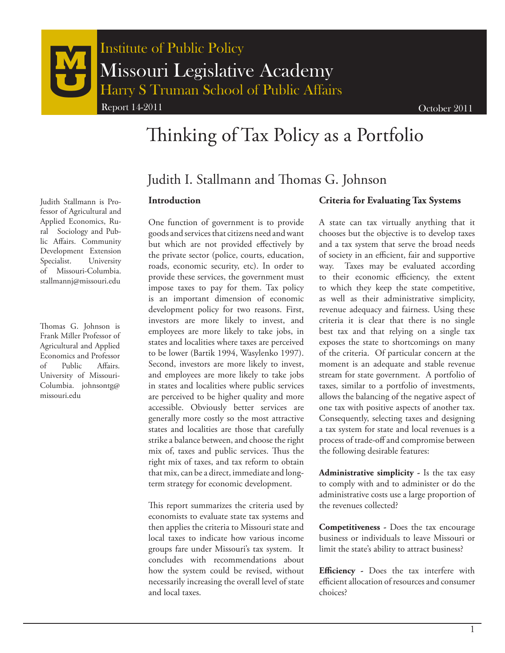

# Thinking of Tax Policy as a Portfolio

## Judith I. Stallmann and Thomas G. Johnson

#### **Introduction**

One function of government is to provide goods and services that citizens need and want but which are not provided effectively by the private sector (police, courts, education, roads, economic security, etc). In order to provide these services, the government must impose taxes to pay for them. Tax policy is an important dimension of economic development policy for two reasons. First, investors are more likely to invest, and employees are more likely to take jobs, in states and localities where taxes are perceived to be lower (Bartik 1994, Wasylenko 1997). Second, investors are more likely to invest, and employees are more likely to take jobs in states and localities where public services are perceived to be higher quality and more accessible. Obviously better services are generally more costly so the most attractive states and localities are those that carefully strike a balance between, and choose the right mix of, taxes and public services. Thus the right mix of taxes, and tax reform to obtain that mix, can be a direct, immediate and longterm strategy for economic development.

This report summarizes the criteria used by economists to evaluate state tax systems and then applies the criteria to Missouri state and local taxes to indicate how various income groups fare under Missouri's tax system. It concludes with recommendations about how the system could be revised, without necessarily increasing the overall level of state and local taxes.

#### **Criteria for Evaluating Tax Systems**

A state can tax virtually anything that it chooses but the objective is to develop taxes and a tax system that serve the broad needs of society in an efficient, fair and supportive way. Taxes may be evaluated according to their economic efficiency, the extent to which they keep the state competitive, as well as their administrative simplicity, revenue adequacy and fairness. Using these criteria it is clear that there is no single best tax and that relying on a single tax exposes the state to shortcomings on many of the criteria. Of particular concern at the moment is an adequate and stable revenue stream for state government. A portfolio of taxes, similar to a portfolio of investments, allows the balancing of the negative aspect of one tax with positive aspects of another tax. Consequently, selecting taxes and designing a tax system for state and local revenues is a process of trade-off and compromise between the following desirable features:

**Administrative simplicity -** Is the tax easy to comply with and to administer or do the administrative costs use a large proportion of the revenues collected?

**Competitiveness -** Does the tax encourage business or individuals to leave Missouri or limit the state's ability to attract business?

**Efficiency -** Does the tax interfere with efficient allocation of resources and consumer choices?

Judith Stallmann is Professor of Agricultural and Applied Economics, Rural Sociology and Public Affairs. Community Development Extension Specialist. University of Missouri-Columbia. stallmannj@missouri.edu

Thomas G. Johnson is Frank Miller Professor of Agricultural and Applied Economics and Professor of Public Affairs. University of Missouri-Columbia. johnsontg@ missouri.edu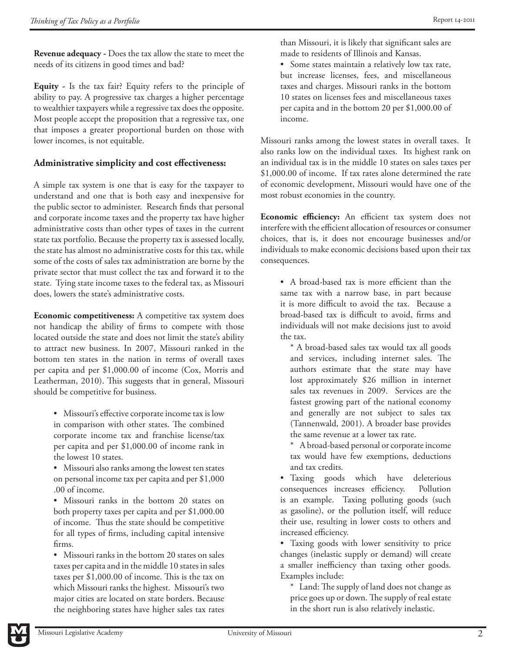**Revenue adequacy -** Does the tax allow the state to meet the needs of its citizens in good times and bad?

**Equity -** Is the tax fair? Equity refers to the principle of ability to pay. A progressive tax charges a higher percentage to wealthier taxpayers while a regressive tax does the opposite. Most people accept the proposition that a regressive tax, one that imposes a greater proportional burden on those with lower incomes, is not equitable.

## **Administrative simplicity and cost effectiveness:**

A simple tax system is one that is easy for the taxpayer to understand and one that is both easy and inexpensive for the public sector to administer. Research finds that personal and corporate income taxes and the property tax have higher administrative costs than other types of taxes in the current state tax portfolio. Because the property tax is assessed locally, the state has almost no administrative costs for this tax, while some of the costs of sales tax administration are borne by the private sector that must collect the tax and forward it to the state. Tying state income taxes to the federal tax, as Missouri does, lowers the state's administrative costs.

**Economic competitiveness:** A competitive tax system does not handicap the ability of firms to compete with those located outside the state and does not limit the state's ability to attract new business. In 2007, Missouri ranked in the bottom ten states in the nation in terms of overall taxes per capita and per \$1,000.00 of income (Cox, Morris and Leatherman, 2010). This suggests that in general, Missouri should be competitive for business.

• Missouri's effective corporate income tax is low in comparison with other states. The combined corporate income tax and franchise license/tax per capita and per \$1,000.00 of income rank in the lowest 10 states.

• Missouri also ranks among the lowest ten states on personal income tax per capita and per \$1,000 .00 of income.

• Missouri ranks in the bottom 20 states on both property taxes per capita and per \$1,000.00 of income. Thus the state should be competitive for all types of firms, including capital intensive firms.

• Missouri ranks in the bottom 20 states on sales taxes per capita and in the middle 10 states in sales taxes per \$1,000.00 of income. This is the tax on which Missouri ranks the highest. Missouri's two major cities are located on state borders. Because the neighboring states have higher sales tax rates

than Missouri, it is likely that significant sales are made to residents of Illinois and Kansas.

• Some states maintain a relatively low tax rate, but increase licenses, fees, and miscellaneous taxes and charges. Missouri ranks in the bottom 10 states on licenses fees and miscellaneous taxes per capita and in the bottom 20 per \$1,000.00 of income.

Missouri ranks among the lowest states in overall taxes. It also ranks low on the individual taxes. Its highest rank on an individual tax is in the middle 10 states on sales taxes per \$1,000.00 of income. If tax rates alone determined the rate of economic development, Missouri would have one of the most robust economies in the country.

**Economic efficiency:** An efficient tax system does not interfere with the efficient allocation of resources or consumer choices, that is, it does not encourage businesses and/or individuals to make economic decisions based upon their tax consequences.

• A broad-based tax is more efficient than the same tax with a narrow base, in part because it is more difficult to avoid the tax. Because a broad-based tax is difficult to avoid, firms and individuals will not make decisions just to avoid the tax.

\* A broad-based sales tax would tax all goods and services, including internet sales. The authors estimate that the state may have lost approximately \$26 million in internet sales tax revenues in 2009. Services are the fastest growing part of the national economy and generally are not subject to sales tax (Tannenwald, 2001). A broader base provides the same revenue at a lower tax rate.

- \* A broad-based personal or corporate income tax would have few exemptions, deductions and tax credits.
- Taxing goods which have deleterious consequences increases efficiency. Pollution is an example. Taxing polluting goods (such as gasoline), or the pollution itself, will reduce their use, resulting in lower costs to others and increased efficiency.

• Taxing goods with lower sensitivity to price changes (inelastic supply or demand) will create a smaller inefficiency than taxing other goods. Examples include:

\* Land: The supply of land does not change as price goes up or down. The supply of real estate in the short run is also relatively inelastic.

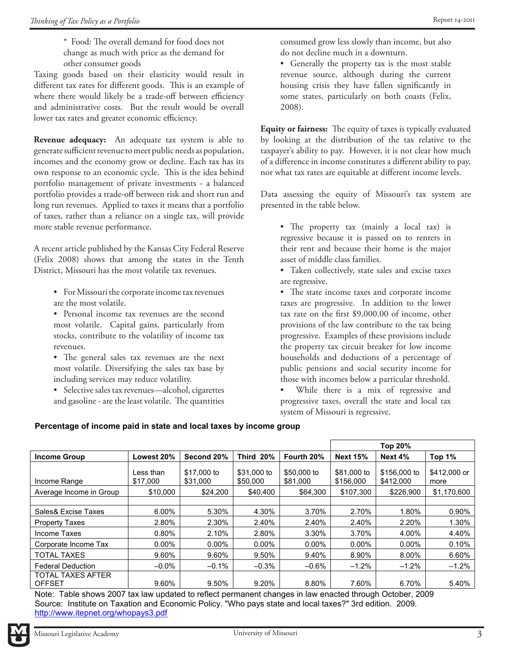Taxing goods based on their elasticity would result in different tax rates for different goods. This is an example of where there would likely be a trade-off between efficiency and administrative costs. But the result would be overall lower tax rates and greater economic efficiency.

**Revenue adequacy:**An adequate tax system is able to generate sufficient revenue to meet public needs as population, incomes and the economy grow or decline. Each tax has its own response to an economic cycle. This is the idea behind portfolio management of private investments - a balanced portfolio provides a trade-off between risk and short run and long run revenues. Applied to taxes it means that a portfolio of taxes, rather than a reliance on a single tax, will provide more stable revenue performance.

A recent article published by the Kansas City Federal Reserve (Felix 2008) shows that among the states in the Tenth District, Missouri has the most volatile tax revenues.

- For Missouri the corporate income tax revenues are the most volatile.
- • Personal income tax revenues are the second most volatile. Capital gains, particularly from stocks, contribute to the volatility of income tax revenues.
- The general sales tax revenues are the next most volatile. Diversifying the sales tax base by including services may reduce volatility.
- Selective sales tax revenues—alcohol, cigarettes and gasoline - are the least volatile. The quantities

consumed grow less slowly than income, but also do not decline much in a downturn.

• Generally the property tax is the most stable revenue source, although during the current housing crisis they have fallen significantly in some states, particularly on both coasts (Felix, 2008).

**Equity or fairness:** The equity of taxes is typically evaluated by looking at the distribution of the tax relative to the taxpayer's ability to pay. However, it is not clear how much of a difference in income constitutes a different ability to pay, nor what tax rates are equitable at different income levels.

Data assessing the equity of Missouri's tax system are presented in the table below.

- The property tax (mainly a local tax) is regressive because it is passed on to renters in their rent and because their home is the major asset of middle class families.
- • Taken collectively, state sales and excise taxes are regressive.

• The state income taxes and corporate income taxes are progressive. In addition to the lower tax rate on the first \$9,000.00 of income, other provisions of the law contribute to the tax being progressive. Examples of these provisions include the property tax circuit breaker for low income households and deductions of a percentage of public pensions and social security income for those with incomes below a particular threshold.

While there is a mix of regressive and progressive taxes, overall the state and local tax system of Missouri is regressive.

## **Percentage of income paid in state and local taxes by income group**

|                                           |                       |                         |                         |                         | Top 20%                  |                           |                      |
|-------------------------------------------|-----------------------|-------------------------|-------------------------|-------------------------|--------------------------|---------------------------|----------------------|
| <b>Income Group</b>                       | Lowest 20%            | Second 20%              | Third 20%               | Fourth 20%              | <b>Next 15%</b>          | Next 4%                   | Top 1%               |
| Income Range                              | Less than<br>\$17,000 | \$17,000 to<br>\$31,000 | \$31,000 to<br>\$50,000 | \$50,000 to<br>\$81,000 | \$81,000 to<br>\$156,000 | \$156,000 to<br>\$412,000 | \$412,000 or<br>more |
| Average Income in Group                   | \$10,000              | \$24,200                | \$40,400                | \$64,300                | \$107.300                | \$226,900                 | \$1,170,600          |
|                                           |                       |                         |                         |                         |                          |                           |                      |
| Sales& Excise Taxes                       | 6.00%                 | 5.30%                   | 4.30%                   | 3.70%                   | 2.70%                    | 1.80%                     | 0.90%                |
| <b>Property Taxes</b>                     | 2.80%                 | 2.30%                   | 2.40%                   | 2.40%                   | 2.40%                    | 2.20%                     | 1.30%                |
| Income Taxes                              | 0.80%                 | 2.10%                   | 2.80%                   | 3.30%                   | 3.70%                    | 4.00%                     | 4.40%                |
| Corporate Income Tax                      | $0.00\%$              | $0.00\%$                | $0.00\%$                | $0.00\%$                | $0.00\%$                 | $0.00\%$                  | 0.10%                |
| <b>TOTAL TAXES</b>                        | 9.60%                 | 9.60%                   | 9.50%                   | 9.40%                   | 8.90%                    | 8.00%                     | 6.60%                |
| <b>Federal Deduction</b>                  | $-0.0\%$              | $-0.1%$                 | $-0.3%$                 | $-0.6%$                 | $-1.2%$                  | $-1.2%$                   | $-1.2%$              |
| <b>TOTAL TAXES AFTER</b><br><b>OFFSET</b> | 9.60%                 | 9.50%                   | 9.20%                   | 8.80%                   | 7.60%                    | 6.70%                     | 5.40%                |

Note: Table shows 2007 tax law updated to reflect permanent changes in law enacted through October, 2009 Source: Institute on Taxation and Economic Policy. "Who pays state and local taxes?" 3rd edition. 2009. http://www.itepnet.org/whopays3.pdf